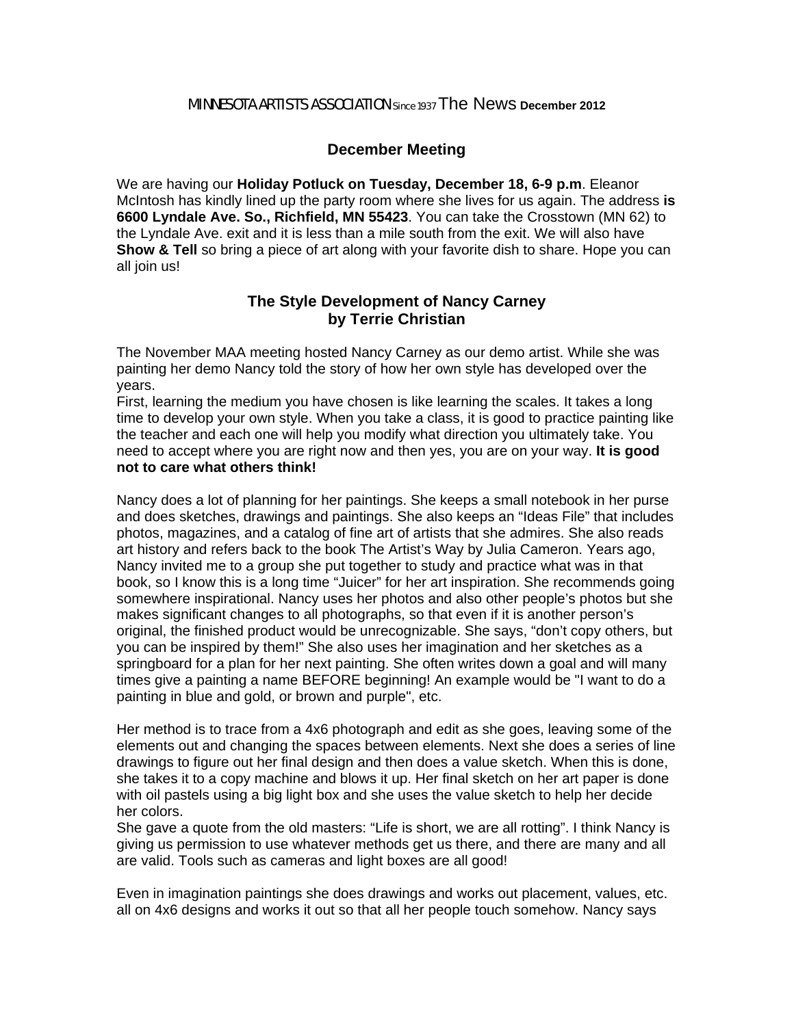#### MINNESOTA ARTISTS ASSOCIATION Since 1937 The News **December 2012**

### **December Meeting**

We are having our **Holiday Potluck on Tuesday, December 18, 6-9 p.m**. Eleanor McIntosh has kindly lined up the party room where she lives for us again. The address **is 6600 Lyndale Ave. So., Richfield, MN 55423**. You can take the Crosstown (MN 62) to the Lyndale Ave. exit and it is less than a mile south from the exit. We will also have **Show & Tell** so bring a piece of art along with your favorite dish to share. Hope you can all join us!

### **The Style Development of Nancy Carney by Terrie Christian**

The November MAA meeting hosted Nancy Carney as our demo artist. While she was painting her demo Nancy told the story of how her own style has developed over the years.

First, learning the medium you have chosen is like learning the scales. It takes a long time to develop your own style. When you take a class, it is good to practice painting like the teacher and each one will help you modify what direction you ultimately take. You need to accept where you are right now and then yes, you are on your way. **It is good not to care what others think!**

Nancy does a lot of planning for her paintings. She keeps a small notebook in her purse and does sketches, drawings and paintings. She also keeps an "Ideas File" that includes photos, magazines, and a catalog of fine art of artists that she admires. She also reads art history and refers back to the book The Artist's Way by Julia Cameron. Years ago, Nancy invited me to a group she put together to study and practice what was in that book, so I know this is a long time "Juicer" for her art inspiration. She recommends going somewhere inspirational. Nancy uses her photos and also other people's photos but she makes significant changes to all photographs, so that even if it is another person's original, the finished product would be unrecognizable. She says, "don't copy others, but you can be inspired by them!" She also uses her imagination and her sketches as a springboard for a plan for her next painting. She often writes down a goal and will many times give a painting a name BEFORE beginning! An example would be "I want to do a painting in blue and gold, or brown and purple", etc.

Her method is to trace from a 4x6 photograph and edit as she goes, leaving some of the elements out and changing the spaces between elements. Next she does a series of line drawings to figure out her final design and then does a value sketch. When this is done, she takes it to a copy machine and blows it up. Her final sketch on her art paper is done with oil pastels using a big light box and she uses the value sketch to help her decide her colors.

She gave a quote from the old masters: "Life is short, we are all rotting". I think Nancy is giving us permission to use whatever methods get us there, and there are many and all are valid. Tools such as cameras and light boxes are all good!

Even in imagination paintings she does drawings and works out placement, values, etc. all on 4x6 designs and works it out so that all her people touch somehow. Nancy says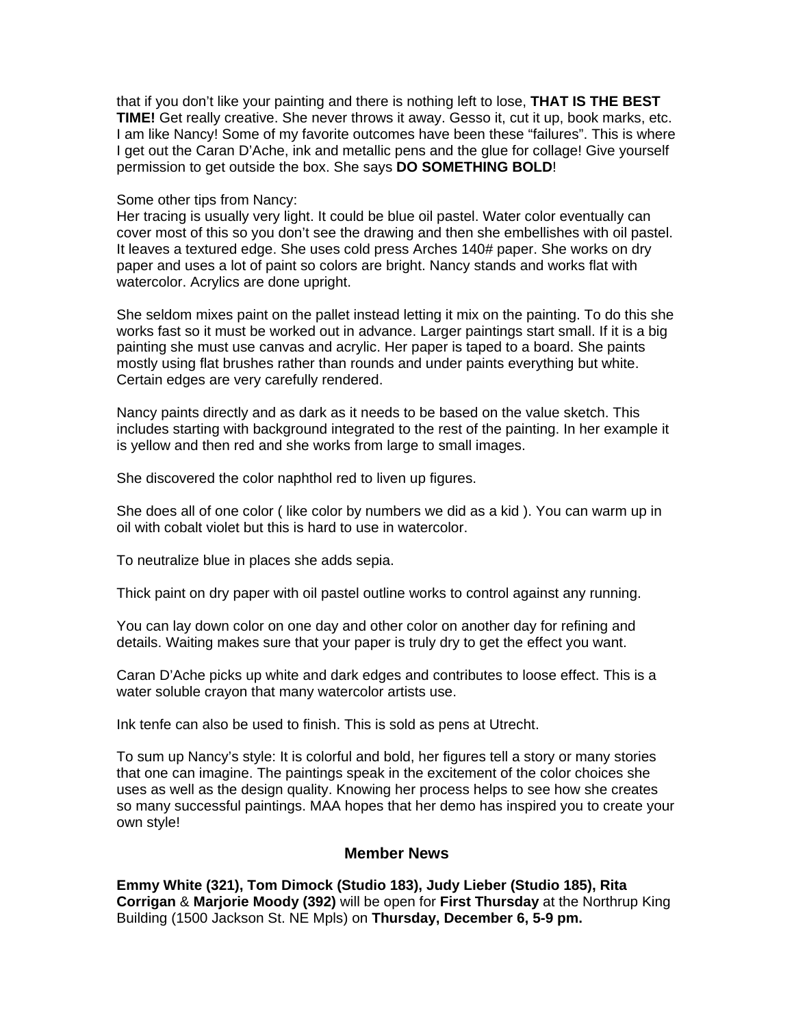that if you don't like your painting and there is nothing left to lose, **THAT IS THE BEST TIME!** Get really creative. She never throws it away. Gesso it, cut it up, book marks, etc. I am like Nancy! Some of my favorite outcomes have been these "failures". This is where I get out the Caran D'Ache, ink and metallic pens and the glue for collage! Give yourself permission to get outside the box. She says **DO SOMETHING BOLD**!

#### Some other tips from Nancy:

Her tracing is usually very light. It could be blue oil pastel. Water color eventually can cover most of this so you don't see the drawing and then she embellishes with oil pastel. It leaves a textured edge. She uses cold press Arches 140# paper. She works on dry paper and uses a lot of paint so colors are bright. Nancy stands and works flat with watercolor. Acrylics are done upright.

She seldom mixes paint on the pallet instead letting it mix on the painting. To do this she works fast so it must be worked out in advance. Larger paintings start small. If it is a big painting she must use canvas and acrylic. Her paper is taped to a board. She paints mostly using flat brushes rather than rounds and under paints everything but white. Certain edges are very carefully rendered.

Nancy paints directly and as dark as it needs to be based on the value sketch. This includes starting with background integrated to the rest of the painting. In her example it is yellow and then red and she works from large to small images.

She discovered the color naphthol red to liven up figures.

She does all of one color ( like color by numbers we did as a kid ). You can warm up in oil with cobalt violet but this is hard to use in watercolor.

To neutralize blue in places she adds sepia.

Thick paint on dry paper with oil pastel outline works to control against any running.

You can lay down color on one day and other color on another day for refining and details. Waiting makes sure that your paper is truly dry to get the effect you want.

Caran D'Ache picks up white and dark edges and contributes to loose effect. This is a water soluble crayon that many watercolor artists use.

Ink tenfe can also be used to finish. This is sold as pens at Utrecht.

To sum up Nancy's style: It is colorful and bold, her figures tell a story or many stories that one can imagine. The paintings speak in the excitement of the color choices she uses as well as the design quality. Knowing her process helps to see how she creates so many successful paintings. MAA hopes that her demo has inspired you to create your own style!

#### **Member News**

**Emmy White (321), Tom Dimock (Studio 183), Judy Lieber (Studio 185), Rita Corrigan** & **Marjorie Moody (392)** will be open for **First Thursday** at the Northrup King Building (1500 Jackson St. NE Mpls) on **Thursday, December 6, 5-9 pm.**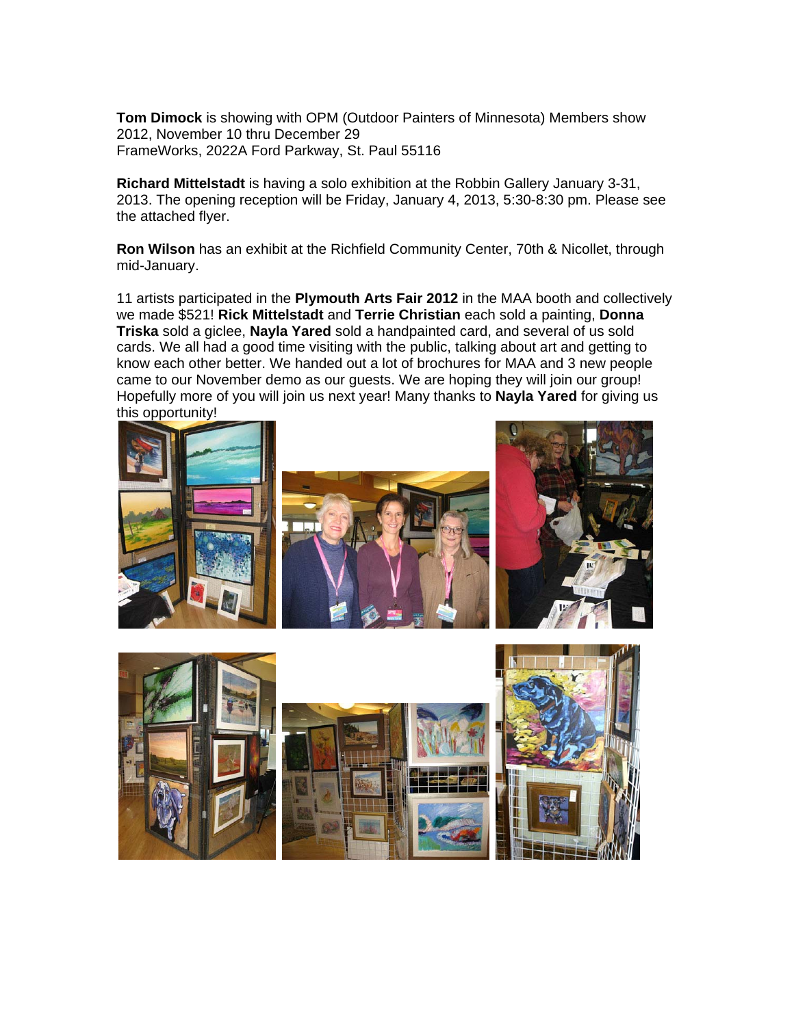**Tom Dimock** is showing with OPM (Outdoor Painters of Minnesota) Members show 2012, November 10 thru December 29 FrameWorks, 2022A Ford Parkway, St. Paul 55116

**Richard Mittelstadt** is having a solo exhibition at the Robbin Gallery January 3-31, 2013. The opening reception will be Friday, January 4, 2013, 5:30-8:30 pm. Please see the attached flyer.

**Ron Wilson** has an exhibit at the Richfield Community Center, 70th & Nicollet, through mid-January.

11 artists participated in the **Plymouth Arts Fair 2012** in the MAA booth and collectively we made \$521! **Rick Mittelstadt** and **Terrie Christian** each sold a painting, **Donna Triska** sold a giclee, **Nayla Yared** sold a handpainted card, and several of us sold cards. We all had a good time visiting with the public, talking about art and getting to know each other better. We handed out a lot of brochures for MAA and 3 new people came to our November demo as our guests. We are hoping they will join our group! Hopefully more of you will join us next year! Many thanks to **Nayla Yared** for giving us this opportunity!